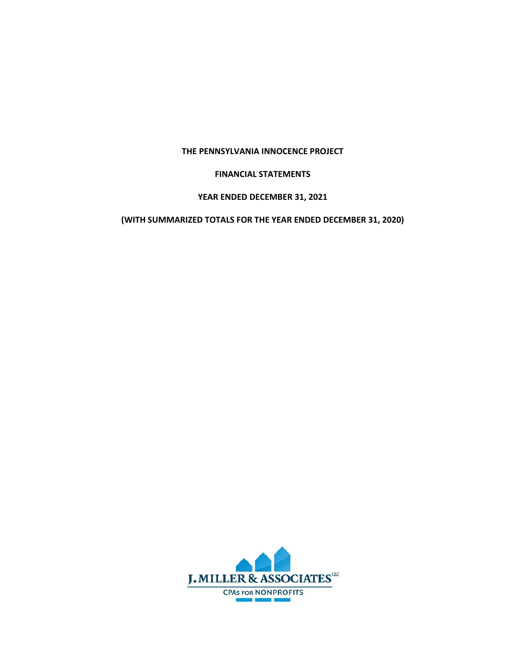## **THE PENNSYLVANIA INNOCENCE PROJECT**

## **FINANCIAL STATEMENTS**

**YEAR ENDED DECEMBER 31, 2021** 

**(WITH SUMMARIZED TOTALS FOR THE YEAR ENDED DECEMBER 31, 2020)**

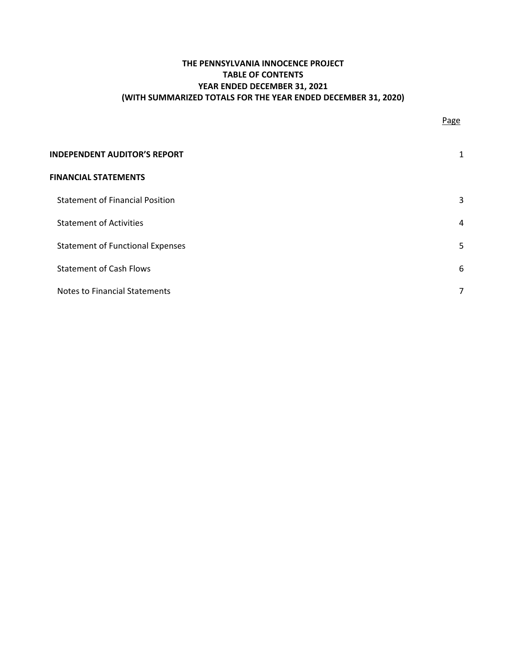# **THE PENNSYLVANIA INNOCENCE PROJECT TABLE OF CONTENTS YEAR ENDED DECEMBER 31, 2021 (WITH SUMMARIZED TOTALS FOR THE YEAR ENDED DECEMBER 31, 2020)**

| <b>INDEPENDENT AUDITOR'S REPORT</b>     |   |
|-----------------------------------------|---|
| <b>FINANCIAL STATEMENTS</b>             |   |
| <b>Statement of Financial Position</b>  | 3 |
| <b>Statement of Activities</b>          | 4 |
| <b>Statement of Functional Expenses</b> | 5 |
| <b>Statement of Cash Flows</b>          | 6 |
| <b>Notes to Financial Statements</b>    |   |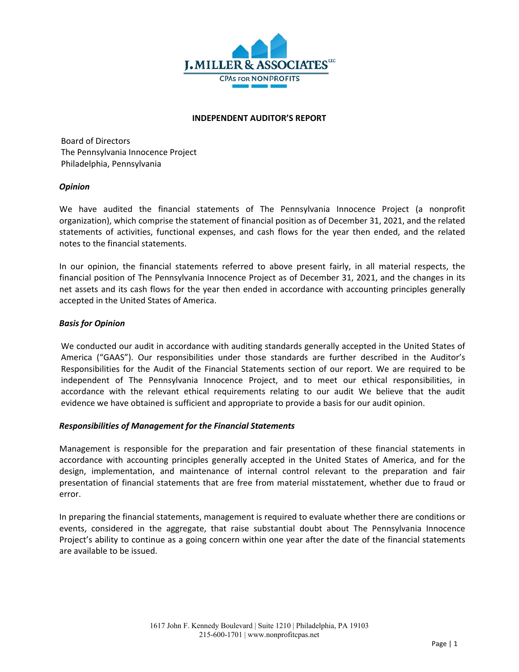

#### **INDEPENDENT AUDITOR'S REPORT**

Board of Directors The Pennsylvania Innocence Project Philadelphia, Pennsylvania

## *Opinion*

We have audited the financial statements of The Pennsylvania Innocence Project (a nonprofit organization), which comprise the statement of financial position as of December 31, 2021, and the related statements of activities, functional expenses, and cash flows for the year then ended, and the related notes to the financial statements.

In our opinion, the financial statements referred to above present fairly, in all material respects, the financial position of The Pennsylvania Innocence Project as of December 31, 2021, and the changes in its net assets and its cash flows for the year then ended in accordance with accounting principles generally accepted in the United States of America.

## *Basis for Opinion*

We conducted our audit in accordance with auditing standards generally accepted in the United States of America ("GAAS"). Our responsibilities under those standards are further described in the Auditor's Responsibilities for the Audit of the Financial Statements section of our report. We are required to be independent of The Pennsylvania Innocence Project, and to meet our ethical responsibilities, in accordance with the relevant ethical requirements relating to our audit We believe that the audit evidence we have obtained is sufficient and appropriate to provide a basis for our audit opinion.

#### *Responsibilities of Management for the Financial Statements*

Management is responsible for the preparation and fair presentation of these financial statements in accordance with accounting principles generally accepted in the United States of America, and for the design, implementation, and maintenance of internal control relevant to the preparation and fair presentation of financial statements that are free from material misstatement, whether due to fraud or error.

In preparing the financial statements, management is required to evaluate whether there are conditions or events, considered in the aggregate, that raise substantial doubt about The Pennsylvania Innocence Project's ability to continue as a going concern within one year after the date of the financial statements are available to be issued.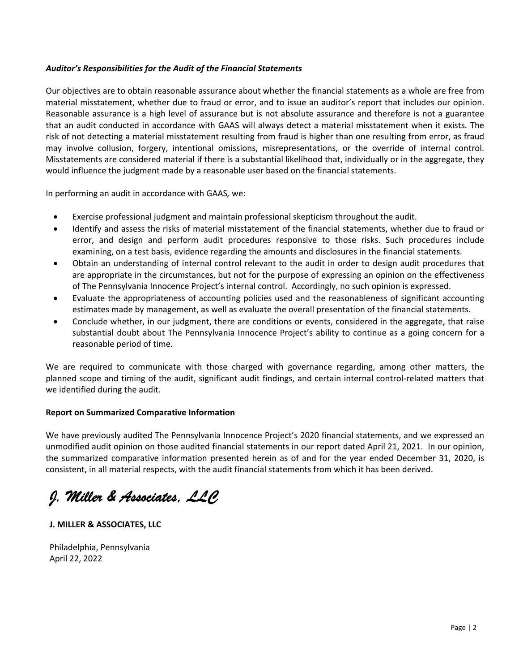## *Auditor's Responsibilities for the Audit of the Financial Statements*

Our objectives are to obtain reasonable assurance about whether the financial statements as a whole are free from material misstatement, whether due to fraud or error, and to issue an auditor's report that includes our opinion. Reasonable assurance is a high level of assurance but is not absolute assurance and therefore is not a guarantee that an audit conducted in accordance with GAAS will always detect a material misstatement when it exists. The risk of not detecting a material misstatement resulting from fraud is higher than one resulting from error, as fraud may involve collusion, forgery, intentional omissions, misrepresentations, or the override of internal control. Misstatements are considered material if there is a substantial likelihood that, individually or in the aggregate, they would influence the judgment made by a reasonable user based on the financial statements.

In performing an audit in accordance with GAAS*,* we:

- Exercise professional judgment and maintain professional skepticism throughout the audit.
- Identify and assess the risks of material misstatement of the financial statements, whether due to fraud or error, and design and perform audit procedures responsive to those risks. Such procedures include examining, on a test basis, evidence regarding the amounts and disclosures in the financial statements.
- Obtain an understanding of internal control relevant to the audit in order to design audit procedures that are appropriate in the circumstances, but not for the purpose of expressing an opinion on the effectiveness of The Pennsylvania Innocence Project's internal control. Accordingly, no such opinion is expressed.
- Evaluate the appropriateness of accounting policies used and the reasonableness of significant accounting estimates made by management, as well as evaluate the overall presentation of the financial statements.
- Conclude whether, in our judgment, there are conditions or events, considered in the aggregate, that raise substantial doubt about The Pennsylvania Innocence Project's ability to continue as a going concern for a reasonable period of time.

We are required to communicate with those charged with governance regarding, among other matters, the planned scope and timing of the audit, significant audit findings, and certain internal control‐related matters that we identified during the audit.

# **Report on Summarized Comparative Information**

We have previously audited The Pennsylvania Innocence Project's 2020 financial statements, and we expressed an unmodified audit opinion on those audited financial statements in our report dated April 21, 2021. In our opinion, the summarized comparative information presented herein as of and for the year ended December 31, 2020, is consistent, in all material respects, with the audit financial statements from which it has been derived.

*J. Miller & Associates, LLC* 

# **J. MILLER & ASSOCIATES, LLC**

Philadelphia, Pennsylvania April 22, 2022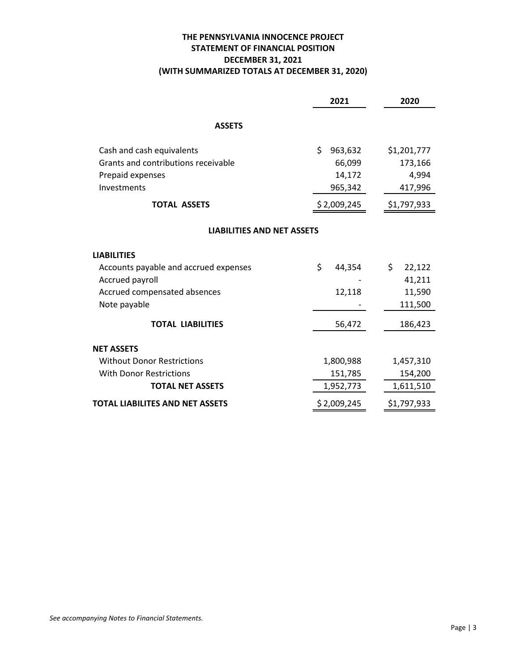# **THE PENNSYLVANIA INNOCENCE PROJECT STATEMENT OF FINANCIAL POSITION DECEMBER 31, 2021 (WITH SUMMARIZED TOTALS AT DECEMBER 31, 2020)**

|                                                                  | 2021                    | 2020                    |
|------------------------------------------------------------------|-------------------------|-------------------------|
| <b>ASSETS</b>                                                    |                         |                         |
| Cash and cash equivalents<br>Grants and contributions receivable | \$<br>963,632<br>66,099 | \$1,201,777<br>173,166  |
| Prepaid expenses<br>Investments                                  | 14,172<br>965,342       | 4,994<br>417,996        |
| <b>TOTAL ASSETS</b>                                              | \$2,009,245             | \$1,797,933             |
| <b>LIABILITIES AND NET ASSETS</b>                                |                         |                         |
| <b>LIABILITIES</b>                                               |                         |                         |
| Accounts payable and accrued expenses<br>Accrued payroll         | \$<br>44,354            | \$.<br>22,122<br>41,211 |
| Accrued compensated absences<br>Note payable                     | 12,118                  | 11,590<br>111,500       |
| <b>TOTAL LIABILITIES</b>                                         | 56,472                  | 186,423                 |
| <b>NET ASSETS</b>                                                |                         |                         |
| <b>Without Donor Restrictions</b>                                | 1,800,988               | 1,457,310               |
| <b>With Donor Restrictions</b>                                   | 151,785                 | 154,200                 |
| <b>TOTAL NET ASSETS</b>                                          | 1,952,773               | 1,611,510               |
| TOTAL LIABILITES AND NET ASSETS                                  | \$2,009,245             | \$1,797,933             |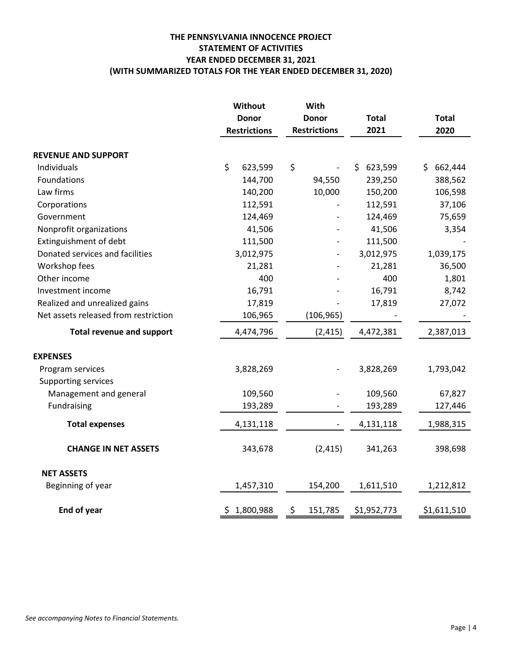# **THE PENNSYLVANIA INNOCENCE PROJECT STATEMENT OF ACTIVITIES YEAR ENDED DECEMBER 31, 2021 (WITH SUMMARIZED TOTALS FOR THE YEAR ENDED DECEMBER 31, 2020)**

|                                      | <b>Without</b>      | With                |                |                |
|--------------------------------------|---------------------|---------------------|----------------|----------------|
|                                      | <b>Donor</b>        | <b>Donor</b>        | <b>Total</b>   | <b>Total</b>   |
|                                      | <b>Restrictions</b> | <b>Restrictions</b> | 2021           | 2020           |
| <b>REVENUE AND SUPPORT</b>           |                     |                     |                |                |
| Individuals                          | \$<br>623,599       | \$                  | 623,599<br>\$. | 662,444<br>\$. |
| Foundations                          | 144,700             | 94,550              | 239,250        | 388,562        |
| Law firms                            | 140,200             | 10,000              | 150,200        | 106,598        |
| Corporations                         | 112,591             |                     | 112,591        | 37,106         |
| Government                           | 124,469             |                     | 124,469        | 75,659         |
| Nonprofit organizations              | 41,506              |                     | 41,506         | 3,354          |
| Extinguishment of debt               | 111,500             |                     | 111,500        |                |
| Donated services and facilities      | 3,012,975           |                     | 3,012,975      | 1,039,175      |
| Workshop fees                        | 21,281              |                     | 21,281         | 36,500         |
| Other income                         | 400                 |                     | 400            | 1,801          |
| Investment income                    | 16,791              |                     | 16,791         | 8,742          |
| Realized and unrealized gains        | 17,819              |                     | 17,819         | 27,072         |
| Net assets released from restriction | 106,965             | (106, 965)          |                |                |
| <b>Total revenue and support</b>     | 4,474,796           | (2, 415)            | 4,472,381      | 2,387,013      |
| <b>EXPENSES</b>                      |                     |                     |                |                |
| Program services                     | 3,828,269           |                     | 3,828,269      | 1,793,042      |
| Supporting services                  |                     |                     |                |                |
| Management and general               | 109,560             |                     | 109,560        | 67,827         |
| Fundraising                          | 193,289             |                     | 193,289        | 127,446        |
| <b>Total expenses</b>                | 4,131,118           |                     | 4,131,118      | 1,988,315      |
| <b>CHANGE IN NET ASSETS</b>          | 343,678             | (2, 415)            | 341,263        | 398,698        |
| <b>NET ASSETS</b>                    |                     |                     |                |                |
| Beginning of year                    | 1,457,310           | 154,200             | 1,611,510      | 1,212,812      |
| End of year                          | 1,800,988<br>\$     | \$<br>151,785       | \$1,952,773    | \$1,611,510    |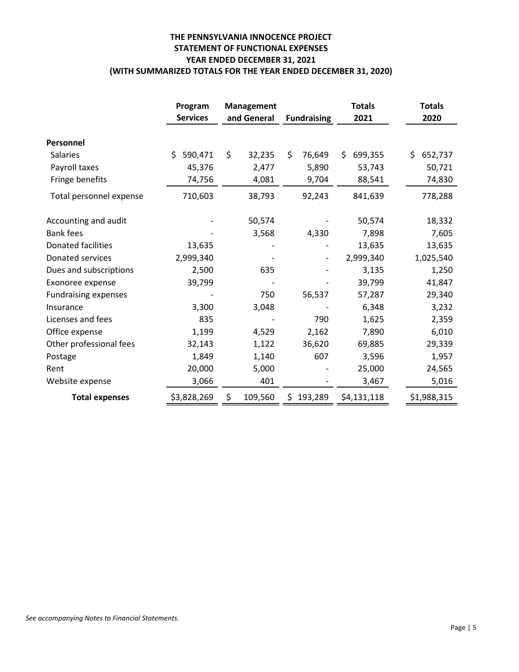# **THE PENNSYLVANIA INNOCENCE PROJECT STATEMENT OF FUNCTIONAL EXPENSES YEAR ENDED DECEMBER 31, 2021 (WITH SUMMARIZED TOTALS FOR THE YEAR ENDED DECEMBER 31, 2020)**

|                             | Program<br><b>Services</b> | <b>Management</b><br>and General |    | <b>Fundraising</b> |    |             |               |  |  | <b>Totals</b><br>2021 | <b>Totals</b><br>2020 |
|-----------------------------|----------------------------|----------------------------------|----|--------------------|----|-------------|---------------|--|--|-----------------------|-----------------------|
| Personnel                   |                            |                                  |    |                    |    |             |               |  |  |                       |                       |
| <b>Salaries</b>             | 590,471<br>Ś.              | \$<br>32,235                     | \$ | 76,649             | \$ | 699,355     | \$<br>652,737 |  |  |                       |                       |
| Payroll taxes               | 45,376                     | 2,477                            |    | 5,890              |    | 53,743      | 50,721        |  |  |                       |                       |
| Fringe benefits             | 74,756                     | 4,081                            |    | 9,704              |    | 88,541      | 74,830        |  |  |                       |                       |
| Total personnel expense     | 710,603                    | 38,793                           |    | 92,243             |    | 841,639     | 778,288       |  |  |                       |                       |
| Accounting and audit        |                            | 50,574                           |    |                    |    | 50,574      | 18,332        |  |  |                       |                       |
| <b>Bank fees</b>            |                            | 3,568                            |    | 4,330              |    | 7,898       | 7,605         |  |  |                       |                       |
| Donated facilities          | 13,635                     |                                  |    |                    |    | 13,635      | 13,635        |  |  |                       |                       |
| Donated services            | 2,999,340                  |                                  |    |                    |    | 2,999,340   | 1,025,540     |  |  |                       |                       |
| Dues and subscriptions      | 2,500                      | 635                              |    |                    |    | 3,135       | 1,250         |  |  |                       |                       |
| Exonoree expense            | 39,799                     |                                  |    |                    |    | 39,799      | 41,847        |  |  |                       |                       |
| <b>Fundraising expenses</b> |                            | 750                              |    | 56,537             |    | 57,287      | 29,340        |  |  |                       |                       |
| Insurance                   | 3,300                      | 3,048                            |    |                    |    | 6,348       | 3,232         |  |  |                       |                       |
| Licenses and fees           | 835                        |                                  |    | 790                |    | 1,625       | 2,359         |  |  |                       |                       |
| Office expense              | 1,199                      | 4,529                            |    | 2,162              |    | 7,890       | 6,010         |  |  |                       |                       |
| Other professional fees     | 32,143                     | 1,122                            |    | 36,620             |    | 69,885      | 29,339        |  |  |                       |                       |
| Postage                     | 1,849                      | 1,140                            |    | 607                |    | 3,596       | 1,957         |  |  |                       |                       |
| Rent                        | 20,000                     | 5,000                            |    |                    |    | 25,000      | 24,565        |  |  |                       |                       |
| Website expense             | 3,066                      | 401                              |    |                    |    | 3,467       | 5,016         |  |  |                       |                       |
| <b>Total expenses</b>       | \$3,828,269                | \$<br>109,560                    | \$ | 193,289            |    | \$4,131,118 | \$1,988,315   |  |  |                       |                       |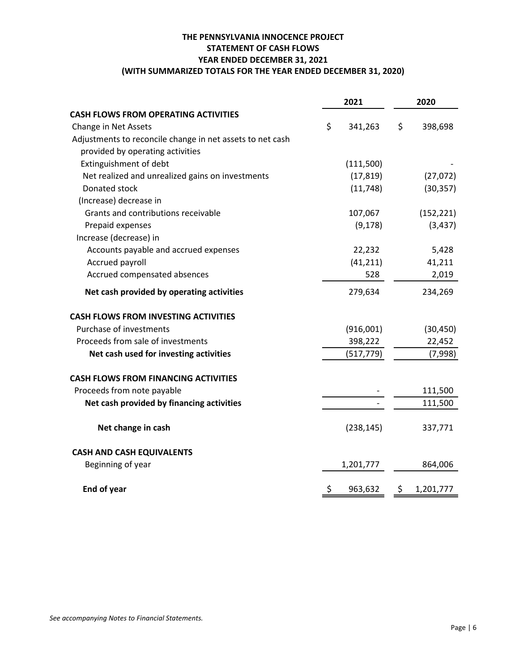# **THE PENNSYLVANIA INNOCENCE PROJECT STATEMENT OF CASH FLOWS YEAR ENDED DECEMBER 31, 2021 (WITH SUMMARIZED TOTALS FOR THE YEAR ENDED DECEMBER 31, 2020)**

|                                                           | 2021          | 2020          |
|-----------------------------------------------------------|---------------|---------------|
| <b>CASH FLOWS FROM OPERATING ACTIVITIES</b>               |               |               |
| Change in Net Assets                                      | \$<br>341,263 | \$<br>398,698 |
| Adjustments to reconcile change in net assets to net cash |               |               |
| provided by operating activities                          |               |               |
| Extinguishment of debt                                    | (111,500)     |               |
| Net realized and unrealized gains on investments          | (17, 819)     | (27,072)      |
| Donated stock                                             | (11, 748)     | (30, 357)     |
| (Increase) decrease in                                    |               |               |
| Grants and contributions receivable                       | 107,067       | (152, 221)    |
| Prepaid expenses                                          | (9, 178)      | (3, 437)      |
| Increase (decrease) in                                    |               |               |
| Accounts payable and accrued expenses                     | 22,232        | 5,428         |
| Accrued payroll                                           | (41, 211)     | 41,211        |
| Accrued compensated absences                              | 528           | 2,019         |
| Net cash provided by operating activities                 | 279,634       | 234,269       |
| <b>CASH FLOWS FROM INVESTING ACTIVITIES</b>               |               |               |
| Purchase of investments                                   | (916,001)     | (30, 450)     |
| Proceeds from sale of investments                         | 398,222       | 22,452        |
| Net cash used for investing activities                    | (517, 779)    | (7,998)       |
| <b>CASH FLOWS FROM FINANCING ACTIVITIES</b>               |               |               |
| Proceeds from note payable                                |               | 111,500       |
| Net cash provided by financing activities                 |               | 111,500       |
| Net change in cash                                        | (238, 145)    | 337,771       |
| <b>CASH AND CASH EQUIVALENTS</b>                          |               |               |
| Beginning of year                                         | 1,201,777     | 864,006       |
| End of year                                               | \$<br>963,632 | 1,201,777     |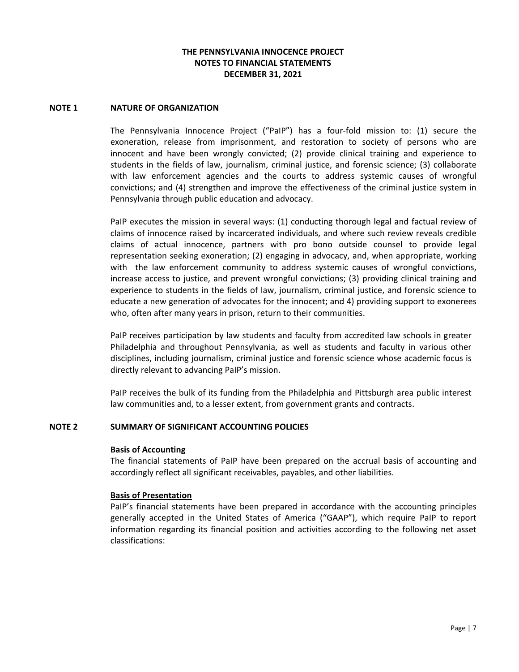## **NOTE 1 NATURE OF ORGANIZATION**

The Pennsylvania Innocence Project ("PaIP") has a four‐fold mission to: (1) secure the exoneration, release from imprisonment, and restoration to society of persons who are innocent and have been wrongly convicted; (2) provide clinical training and experience to students in the fields of law, journalism, criminal justice, and forensic science; (3) collaborate with law enforcement agencies and the courts to address systemic causes of wrongful convictions; and (4) strengthen and improve the effectiveness of the criminal justice system in Pennsylvania through public education and advocacy.

PaIP executes the mission in several ways: (1) conducting thorough legal and factual review of claims of innocence raised by incarcerated individuals, and where such review reveals credible claims of actual innocence, partners with pro bono outside counsel to provide legal representation seeking exoneration; (2) engaging in advocacy, and, when appropriate, working with the law enforcement community to address systemic causes of wrongful convictions, increase access to justice, and prevent wrongful convictions; (3) providing clinical training and experience to students in the fields of law, journalism, criminal justice, and forensic science to educate a new generation of advocates for the innocent; and 4) providing support to exonerees who, often after many years in prison, return to their communities.

PaIP receives participation by law students and faculty from accredited law schools in greater Philadelphia and throughout Pennsylvania, as well as students and faculty in various other disciplines, including journalism, criminal justice and forensic science whose academic focus is directly relevant to advancing PaIP's mission.

PaIP receives the bulk of its funding from the Philadelphia and Pittsburgh area public interest law communities and, to a lesser extent, from government grants and contracts.

#### **NOTE 2 SUMMARY OF SIGNIFICANT ACCOUNTING POLICIES**

#### **Basis of Accounting**

The financial statements of PaIP have been prepared on the accrual basis of accounting and accordingly reflect all significant receivables, payables, and other liabilities.

#### **Basis of Presentation**

PaIP's financial statements have been prepared in accordance with the accounting principles generally accepted in the United States of America ("GAAP"), which require PaIP to report information regarding its financial position and activities according to the following net asset classifications: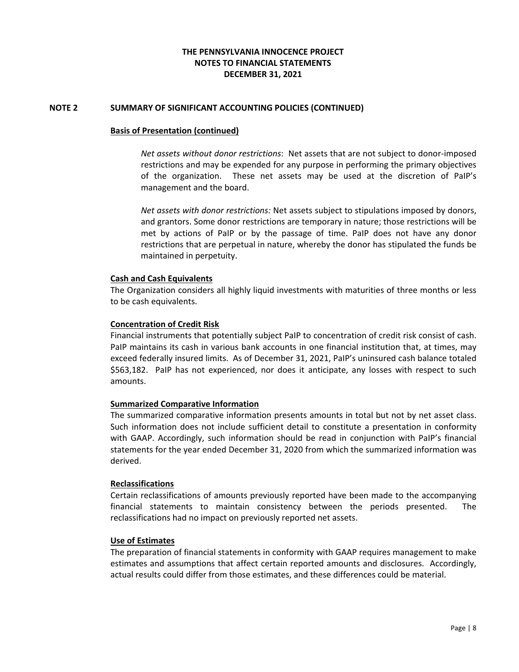### **NOTE 2 SUMMARY OF SIGNIFICANT ACCOUNTING POLICIES (CONTINUED)**

#### **Basis of Presentation (continued)**

*Net assets without donor restrictions*: Net assets that are not subject to donor‐imposed restrictions and may be expended for any purpose in performing the primary objectives of the organization. These net assets may be used at the discretion of PaIP's management and the board.

*Net assets with donor restrictions:* Net assets subject to stipulations imposed by donors, and grantors. Some donor restrictions are temporary in nature; those restrictions will be met by actions of PaIP or by the passage of time. PaIP does not have any donor restrictions that are perpetual in nature, whereby the donor has stipulated the funds be maintained in perpetuity.

#### **Cash and Cash Equivalents**

The Organization considers all highly liquid investments with maturities of three months or less to be cash equivalents.

## **Concentration of Credit Risk**

Financial instruments that potentially subject PaIP to concentration of credit risk consist of cash. PaIP maintains its cash in various bank accounts in one financial institution that, at times, may exceed federally insured limits. As of December 31, 2021, PaIP's uninsured cash balance totaled \$563,182. PaIP has not experienced, nor does it anticipate, any losses with respect to such amounts.

#### **Summarized Comparative Information**

The summarized comparative information presents amounts in total but not by net asset class. Such information does not include sufficient detail to constitute a presentation in conformity with GAAP. Accordingly, such information should be read in conjunction with PaIP's financial statements for the year ended December 31, 2020 from which the summarized information was derived.

#### **Reclassifications**

Certain reclassifications of amounts previously reported have been made to the accompanying financial statements to maintain consistency between the periods presented. The reclassifications had no impact on previously reported net assets.

#### **Use of Estimates**

The preparation of financial statements in conformity with GAAP requires management to make estimates and assumptions that affect certain reported amounts and disclosures. Accordingly, actual results could differ from those estimates, and these differences could be material.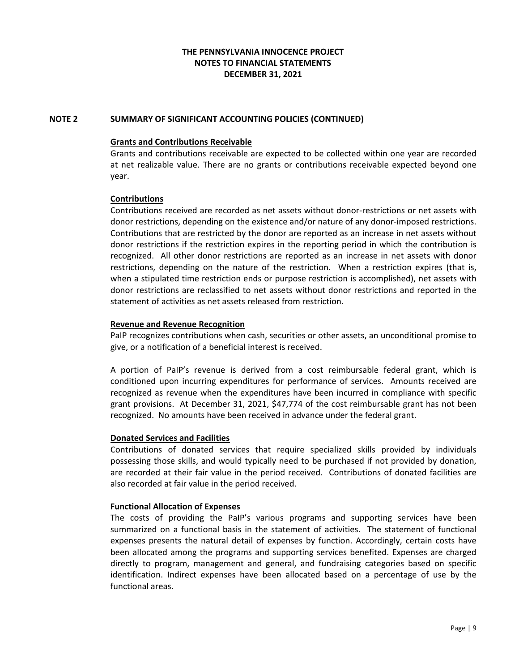### **NOTE 2 SUMMARY OF SIGNIFICANT ACCOUNTING POLICIES (CONTINUED)**

### **Grants and Contributions Receivable**

Grants and contributions receivable are expected to be collected within one year are recorded at net realizable value. There are no grants or contributions receivable expected beyond one year.

## **Contributions**

Contributions received are recorded as net assets without donor‐restrictions or net assets with donor restrictions, depending on the existence and/or nature of any donor‐imposed restrictions. Contributions that are restricted by the donor are reported as an increase in net assets without donor restrictions if the restriction expires in the reporting period in which the contribution is recognized. All other donor restrictions are reported as an increase in net assets with donor restrictions, depending on the nature of the restriction. When a restriction expires (that is, when a stipulated time restriction ends or purpose restriction is accomplished), net assets with donor restrictions are reclassified to net assets without donor restrictions and reported in the statement of activities as net assets released from restriction.

## **Revenue and Revenue Recognition**

PaIP recognizes contributions when cash, securities or other assets, an unconditional promise to give, or a notification of a beneficial interest is received.

A portion of PaIP's revenue is derived from a cost reimbursable federal grant, which is conditioned upon incurring expenditures for performance of services. Amounts received are recognized as revenue when the expenditures have been incurred in compliance with specific grant provisions. At December 31, 2021, \$47,774 of the cost reimbursable grant has not been recognized. No amounts have been received in advance under the federal grant.

#### **Donated Services and Facilities**

Contributions of donated services that require specialized skills provided by individuals possessing those skills, and would typically need to be purchased if not provided by donation, are recorded at their fair value in the period received. Contributions of donated facilities are also recorded at fair value in the period received.

#### **Functional Allocation of Expenses**

The costs of providing the PaIP's various programs and supporting services have been summarized on a functional basis in the statement of activities. The statement of functional expenses presents the natural detail of expenses by function. Accordingly, certain costs have been allocated among the programs and supporting services benefited. Expenses are charged directly to program, management and general, and fundraising categories based on specific identification. Indirect expenses have been allocated based on a percentage of use by the functional areas.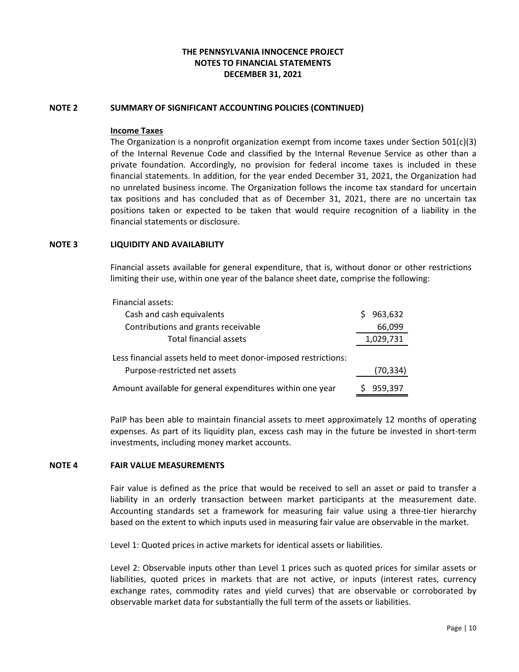### **NOTE 2 SUMMARY OF SIGNIFICANT ACCOUNTING POLICIES (CONTINUED)**

#### **Income Taxes**

The Organization is a nonprofit organization exempt from income taxes under Section  $501(c)(3)$ of the Internal Revenue Code and classified by the Internal Revenue Service as other than a private foundation. Accordingly, no provision for federal income taxes is included in these financial statements. In addition, for the year ended December 31, 2021, the Organization had no unrelated business income. The Organization follows the income tax standard for uncertain tax positions and has concluded that as of December 31, 2021, there are no uncertain tax positions taken or expected to be taken that would require recognition of a liability in the financial statements or disclosure.

#### **NOTE 3 LIQUIDITY AND AVAILABILITY**

Financial assets available for general expenditure, that is, without donor or other restrictions limiting their use, within one year of the balance sheet date, comprise the following:

| Financial assets:                                                                               |              |
|-------------------------------------------------------------------------------------------------|--------------|
| Cash and cash equivalents                                                                       | 963,632<br>S |
| Contributions and grants receivable                                                             | 66,099       |
| Total financial assets                                                                          | 1,029,731    |
| Less financial assets held to meet donor-imposed restrictions:<br>Purpose-restricted net assets | (70, 334)    |
| Amount available for general expenditures within one year                                       | 959,397      |

PaIP has been able to maintain financial assets to meet approximately 12 months of operating expenses. As part of its liquidity plan, excess cash may in the future be invested in short-term investments, including money market accounts.

#### **NOTE 4 FAIR VALUE MEASUREMENTS**

Fair value is defined as the price that would be received to sell an asset or paid to transfer a liability in an orderly transaction between market participants at the measurement date. Accounting standards set a framework for measuring fair value using a three‐tier hierarchy based on the extent to which inputs used in measuring fair value are observable in the market.

Level 1: Quoted prices in active markets for identical assets or liabilities.

Level 2: Observable inputs other than Level 1 prices such as quoted prices for similar assets or liabilities, quoted prices in markets that are not active, or inputs (interest rates, currency exchange rates, commodity rates and yield curves) that are observable or corroborated by observable market data for substantially the full term of the assets or liabilities.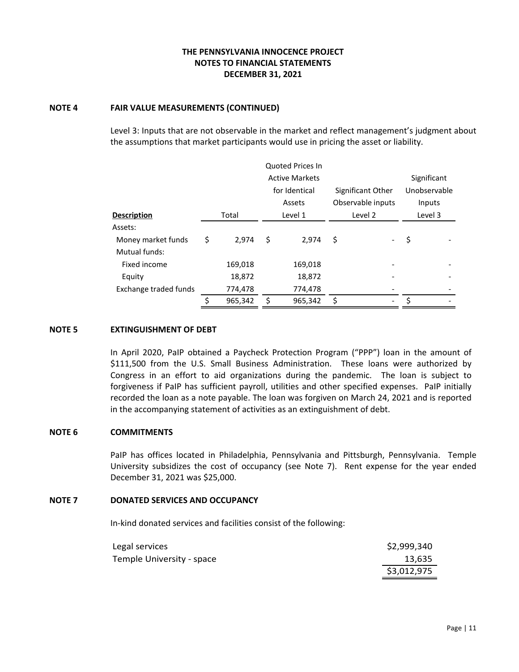## **NOTE 4 FAIR VALUE MEASUREMENTS (CONTINUED)**

Level 3: Inputs that are not observable in the market and reflect management's judgment about the assumptions that market participants would use in pricing the asset or liability.

|                       |    |         | <b>Quoted Prices In</b> |                   |    |              |
|-----------------------|----|---------|-------------------------|-------------------|----|--------------|
|                       |    |         | <b>Active Markets</b>   |                   |    | Significant  |
|                       |    |         | for Identical           | Significant Other |    | Unobservable |
|                       |    |         | Assets                  | Observable inputs |    | Inputs       |
| Description           |    | Total   | Level 1                 | Level 2           |    | Level 3      |
| Assets:               |    |         |                         |                   |    |              |
| Money market funds    | \$ | 2,974   | \$<br>2,974             | \$                | \$ |              |
| Mutual funds:         |    |         |                         |                   |    |              |
| Fixed income          |    | 169,018 | 169,018                 |                   |    |              |
| Equity                |    | 18,872  | 18,872                  |                   |    |              |
| Exchange traded funds |    | 774,478 | 774,478                 |                   |    |              |
|                       | Ś  | 965,342 | \$<br>965,342           | \$                | Ś  |              |

#### **NOTE 5 EXTINGUISHMENT OF DEBT**

In April 2020, PaIP obtained a Paycheck Protection Program ("PPP") loan in the amount of \$111,500 from the U.S. Small Business Administration. These loans were authorized by Congress in an effort to aid organizations during the pandemic. The loan is subject to forgiveness if PaIP has sufficient payroll, utilities and other specified expenses. PaIP initially recorded the loan as a note payable. The loan was forgiven on March 24, 2021 and is reported in the accompanying statement of activities as an extinguishment of debt.

#### **NOTE 6 COMMITMENTS**

PaIP has offices located in Philadelphia, Pennsylvania and Pittsburgh, Pennsylvania. Temple University subsidizes the cost of occupancy (see Note 7). Rent expense for the year ended December 31, 2021 was \$25,000.

## **NOTE 7 DONATED SERVICES AND OCCUPANCY**

In-kind donated services and facilities consist of the following:

| Legal services            | \$2,999,340 |
|---------------------------|-------------|
| Temple University - space | 13,635      |
|                           | \$3,012,975 |